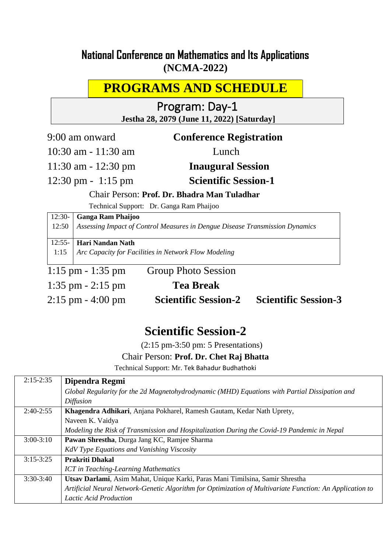## **National Conference on Mathematics and Its Applications (NCMA-2022)**

# **PROGRAMS AND SCHEDULE**

## Program: Day-1 **Jestha 28, 2079 (June 11, 2022) [Saturday]**

9:00 am onward **Conference Registration**

10:30 am - 11:30 am Lunch

11:30 am - 12:30 pm **Inaugural Session**

12:30 pm - 1:15 pm **Scientific Session-1** 

Chair Person: **Prof. Dr. Bhadra Man Tuladhar** 

Technical Support: Dr. Ganga Ram Phaijoo

12:30- **Ganga Ram Phaijoo**

12:50 *Assessing Impact of Control Measures in Dengue Disease Transmission Dynamics*

 $12:55-$ **Hari Nandan Nath**

1:15 *Arc Capacity for Facilities in Network Flow Modeling* 

1:15 pm - 1:35 pm Group Photo Session 1:35 pm - 2:15 pm **Tea Break**

2:15 pm - 4:00 pm **Scientific Session-2 Scientific Session-3**

# **Scientific Session-2**

(2:15 pm-3:50 pm: 5 Presentations)

## Chair Person: **Prof. Dr. Chet Raj Bhatta**

Technical Support: Mr. Tek Bahadur Budhathoki

| $2:15-2:35$ | Dipendra Regmi                                                                                           |
|-------------|----------------------------------------------------------------------------------------------------------|
|             | Global Regularity for the 2d Magnetohydrodynamic (MHD) Equations with Partial Dissipation and            |
|             | <i>Diffusion</i>                                                                                         |
| $2:40-2:55$ | Khagendra Adhikari, Anjana Pokharel, Ramesh Gautam, Kedar Nath Uprety,                                   |
|             | Naveen K. Vaidya                                                                                         |
|             | Modeling the Risk of Transmission and Hospitalization During the Covid-19 Pandemic in Nepal              |
| $3:00-3:10$ | Pawan Shrestha, Durga Jang KC, Ramjee Sharma                                                             |
|             | KdV Type Equations and Vanishing Viscosity                                                               |
| $3:15-3:25$ | <b>Prakriti Dhakal</b>                                                                                   |
|             | <b>ICT</b> in Teaching-Learning Mathematics                                                              |
| $3:30-3:40$ | Utsav Darlami, Asim Mahat, Unique Karki, Paras Mani Timilsina, Samir Shrestha                            |
|             | Artificial Neural Network-Genetic Algorithm for Optimization of Multivariate Function: An Application to |
|             | <b>Lactic Acid Production</b>                                                                            |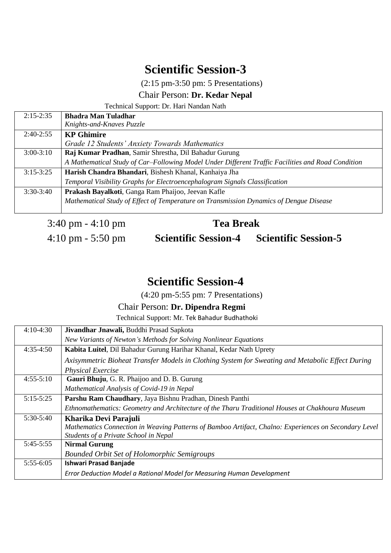(2:15 pm-3:50 pm: 5 Presentations)

## Chair Person: **Dr. Kedar Nepal**

Technical Support: Dr. Hari Nandan Nath

| $2:15 - 2:35$ | <b>Bhadra Man Tuladhar</b>                                                                        |
|---------------|---------------------------------------------------------------------------------------------------|
|               | Knights-and-Knaves Puzzle                                                                         |
| $2:40-2:55$   | <b>KP</b> Ghimire                                                                                 |
|               | Grade 12 Students' Anxiety Towards Mathematics                                                    |
| $3:00-3:10$   | Raj Kumar Pradhan, Samir Shrestha, Dil Bahadur Gurung                                             |
|               | A Mathematical Study of Car-Following Model Under Different Traffic Facilities and Road Condition |
| $3:15-3:25$   | Harish Chandra Bhandari, Bishesh Khanal, Kanhaiya Jha                                             |
|               | Temporal Visibility Graphs for Electroencephalogram Signals Classification                        |
| $3:30-3:40$   | Prakash Bayalkoti, Ganga Ram Phaijoo, Jeevan Kafle                                                |
|               | Mathematical Study of Effect of Temperature on Transmission Dynamics of Dengue Disease            |
|               |                                                                                                   |

3:40 pm - 4:10 pm **Tea Break**

4:10 pm - 5:50 pm **Scientific Session-4 Scientific Session-5**

# **Scientific Session-4**

(4:20 pm-5:55 pm: 7 Presentations)

## Chair Person: **Dr. Dipendra Regmi**

Technical Support: Mr. Tek Bahadur Budhathoki

| $4:10-4:30$ | Jivandhar Jnawali, Buddhi Prasad Sapkota                                                              |
|-------------|-------------------------------------------------------------------------------------------------------|
|             | New Variants of Newton's Methods for Solving Nonlinear Equations                                      |
| $4:35-4:50$ | Kabita Luitel, Dil Bahadur Gurung Harihar Khanal, Kedar Nath Uprety                                   |
|             | Axisymmetric Bioheat Transfer Models in Clothing System for Sweating and Metabolic Effect During      |
|             | <b>Physical Exercise</b>                                                                              |
| $4:55-5:10$ | Gauri Bhuju, G. R. Phaijoo and D. B. Gurung                                                           |
|             | Mathematical Analysis of Covid-19 in Nepal                                                            |
| $5:15-5:25$ | Parshu Ram Chaudhary, Jaya Bishnu Pradhan, Dinesh Panthi                                              |
|             | Ethnomathematics: Geometry and Architecture of the Tharu Traditional Houses at Chakhoura Museum       |
| $5:30-5:40$ | Kharika Devi Parajuli                                                                                 |
|             | Mathematics Connection in Weaving Patterns of Bamboo Artifact, Chalno: Experiences on Secondary Level |
|             | Students of a Private School in Nepal                                                                 |
| $5:45-5:55$ | <b>Nirmal Gurung</b>                                                                                  |
|             | <b>Bounded Orbit Set of Holomorphic Semigroups</b>                                                    |
| $5:55-6:05$ | <b>Ishwari Prasad Banjade</b>                                                                         |
|             | Error Deduction Model a Rational Model for Measuring Human Development                                |
|             |                                                                                                       |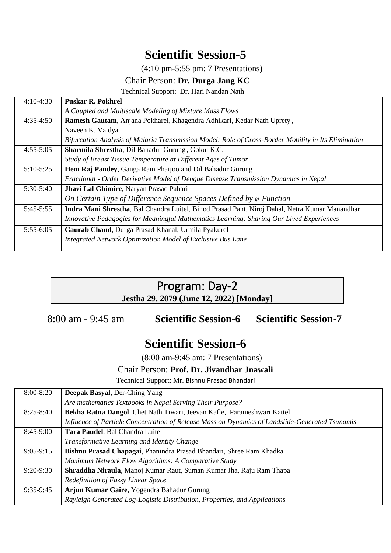(4:10 pm-5:55 pm: 7 Presentations)

## Chair Person: **Dr. Durga Jang KC**

Technical Support: Dr. Hari Nandan Nath

| $4:10-4:30$ | <b>Puskar R. Pokhrel</b>                                                                             |
|-------------|------------------------------------------------------------------------------------------------------|
|             | A Coupled and Multiscale Modeling of Mixture Mass Flows                                              |
| $4:35-4:50$ | Ramesh Gautam, Anjana Pokharel, Khagendra Adhikari, Kedar Nath Uprety,                               |
|             | Naveen K. Vaidya                                                                                     |
|             | Bifurcation Analysis of Malaria Transmission Model: Role of Cross-Border Mobility in Its Elimination |
| $4:55-5:05$ | Sharmila Shrestha, Dil Bahadur Gurung, Gokul K.C.                                                    |
|             | Study of Breast Tissue Temperature at Different Ages of Tumor                                        |
| $5:10-5:25$ | Hem Raj Pandey, Ganga Ram Phaijoo and Dil Bahadur Gurung                                             |
|             | Fractional - Order Derivative Model of Dengue Disease Transmission Dynamics in Nepal                 |
| $5:30-5:40$ | Jhavi Lal Ghimire, Naryan Prasad Pahari                                                              |
|             | On Certain Type of Difference Sequence Spaces Defined by $\varphi$ -Function                         |
| $5:45-5:55$ | Indra Mani Shrestha, Bal Chandra Luitel, Binod Prasad Pant, Niroj Dahal, Netra Kumar Manandhar       |
|             | Innovative Pedagogies for Meaningful Mathematics Learning: Sharing Our Lived Experiences             |
| $5:55-6:05$ | Gaurab Chand, Durga Prasad Khanal, Urmila Pyakurel                                                   |
|             | Integrated Network Optimization Model of Exclusive Bus Lane                                          |
|             |                                                                                                      |

## Program: Day-2 **Jestha 29, 2079 (June 12, 2022) [Monday]**

8:00 am - 9:45 am **Scientific Session-6 Scientific Session-7**

# **Scientific Session-6**

(8:00 am-9:45 am: 7 Presentations)

#### Chair Person: **Prof. Dr. Jivandhar Jnawali**

Technical Support: Mr. Bishnu Prasad Bhandari

| $8:00 - 8:20$ | <b>Deepak Basyal, Der-Ching Yang</b>                                                            |
|---------------|-------------------------------------------------------------------------------------------------|
|               | Are mathematics Textbooks in Nepal Serving Their Purpose?                                       |
| $8:25 - 8:40$ | Bekha Ratna Dangol, Chet Nath Tiwari, Jeevan Kafle, Parameshwari Kattel                         |
|               | Influence of Particle Concentration of Release Mass on Dynamics of Landslide-Generated Tsunamis |
| 8:45-9:00     | Tara Paudel, Bal Chandra Luitel                                                                 |
|               | Transformative Learning and Identity Change                                                     |
| $9:05-9:15$   | Bishnu Prasad Chapagai, Phanindra Prasad Bhandari, Shree Ram Khadka                             |
|               | Maximum Network Flow Algorithms: A Comparative Study                                            |
| $9:20-9:30$   | Shraddha Niraula, Manoj Kumar Raut, Suman Kumar Jha, Raju Ram Thapa                             |
|               | Redefinition of Fuzzy Linear Space                                                              |
| $9:35-9:45$   | Arjun Kumar Gaire, Yogendra Bahadur Gurung                                                      |
|               | Rayleigh Generated Log-Logistic Distribution, Properties, and Applications                      |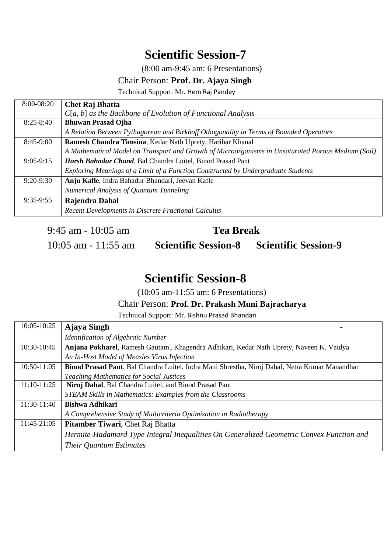(8:00 am-9:45 am: 6 Presentations)

#### Chair Person: **Prof. Dr. Ajaya Singh**

Technical Support: Mr. Hem Raj Pandey

| 8:00-08:20    | <b>Chet Raj Bhatta</b>                                                                             |
|---------------|----------------------------------------------------------------------------------------------------|
|               | $C[a, b]$ as the Backbone of Evolution of Functional Analysis                                      |
| $8:25 - 8:40$ | <b>Bhuwan Prasad Ojha</b>                                                                          |
|               | A Relation Between Pythagorean and Birkhoff Othogonality in Terms of Bounded Operators             |
| $8:45-9:00$   | Ramesh Chandra Timsina, Kedar Nath Uprety, Harihar Khanal                                          |
|               | A Mathematical Model on Transport and Growth of Microorganisms in Unsaturated Porous Medium (Soil) |
| $9:05-9:15$   | Harsh Bahadur Chand, Bal Chandra Luitel, Binod Prasad Pant                                         |
|               | Exploring Meanings of a Limit of a Function Constructed by Undergraduate Students                  |
| $9:20-9:30$   | Anju Kafle, Indra Bahadur Bhandari, Jeevan Kafle                                                   |
|               | Numerical Analysis of Quantum Tunneling                                                            |
| $9:35-9:55$   | Rajendra Dahal                                                                                     |
|               | Recent Developments in Discrete Fractional Calculus                                                |

9:45 am - 10:05 am **Tea Break**

10:05 am - 11:55 am **Scientific Session-8 Scientific Session-9**

## **Scientific Session-8**

(10:05 am-11:55 am: 6 Presentations)

Chair Person: **Prof. Dr. Prakash Muni Bajracharya**

Technical Support: Mr. Bishnu Prasad Bhandari

| 10:05-10:25   | <b>Ajaya Singh</b>                                                                             |
|---------------|------------------------------------------------------------------------------------------------|
|               | <b>Identification of Algebraic Number</b>                                                      |
| 10:30-10:45   | Anjana Pokharel, Ramesh Gautam, Khagendra Adhikari, Kedar Nath Uprety, Naveen K. Vaidya        |
|               | An In-Host Model of Measles Virus Infection                                                    |
| 10:50-11:05   | Binod Prasad Pant, Bal Chandra Luitel, Indra Mani Shrestha, Niroj Dahal, Netra Kumar Manandhar |
|               | <b>Teaching Mathematics for Social Justices</b>                                                |
| $11:10-11:25$ | Niroj Dahal, Bal Chandra Luitel, and Binod Prasad Pant                                         |
|               | STEAM Skills in Mathematics: Examples from the Classrooms                                      |
| 11:30-11:40   | <b>Bishwa Adhikari</b>                                                                         |
|               | A Comprehensive Study of Multicriteria Optimization in Radiotherapy                            |
| 11:45-21:05   | <b>Pitamber Tiwari</b> , Chet Raj Bhatta                                                       |
|               | Hermite-Hadamard Type Integral Inequalities On Generalized Geometric Convex Function and       |
|               | Their Quantum Estimates                                                                        |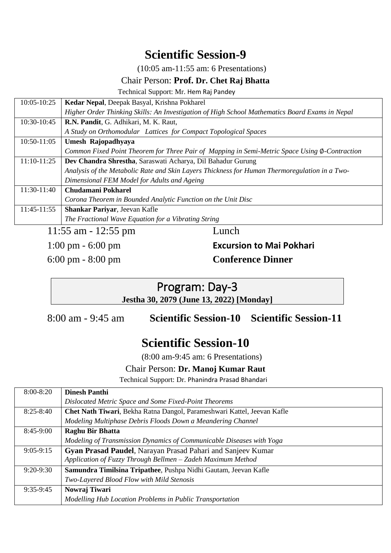(10:05 am-11:55 am: 6 Presentations)

#### Chair Person: **Prof. Dr. Chet Raj Bhatta**

Technical Support: Mr. Hem Raj Pandey

| 10:05-10:25   | Kedar Nepal, Deepak Basyal, Krishna Pokharel                                                   |
|---------------|------------------------------------------------------------------------------------------------|
|               | Higher Order Thinking Skills: An Investigation of High School Mathematics Board Exams in Nepal |
| 10:30-10:45   | R.N. Pandit, G. Adhikari, M. K. Raut,                                                          |
|               | A Study on Orthomodular Lattices for Compact Topological Spaces                                |
| 10:50-11:05   | Umesh Rajopadhyaya                                                                             |
|               | Common Fixed Point Theorem for Three Pair of Mapping in Semi-Metric Space Using Ø-Contraction  |
| $11:10-11:25$ | Dev Chandra Shrestha, Saraswati Acharya, Dil Bahadur Gurung                                    |
|               | Analysis of the Metabolic Rate and Skin Layers Thickness for Human Thermoregulation in a Two-  |
|               | Dimensional FEM Model for Adults and Ageing                                                    |
| 11:30-11:40   | <b>Chudamani Pokharel</b>                                                                      |
|               | Corona Theorem in Bounded Analytic Function on the Unit Disc                                   |
| 11:45-11:55   | Shankar Pariyar, Jeevan Kafle                                                                  |
|               | The Fractional Wave Equation for a Vibrating String                                            |
|               |                                                                                                |

11:55 am - 12:55 pm Lunch

## 1:00 pm - 6:00 pm **Excursion to Mai Pokhari** 6:00 pm - 8:00 pm **Conference Dinner**

## Program: Day-3 **Jestha 30, 2079 (June 13, 2022) [Monday]**

8:00 am - 9:45 am **Scientific Session-10 Scientific Session-11**

# **Scientific Session-10**

(8:00 am-9:45 am: 6 Presentations)

## Chair Person: **Dr. Manoj Kumar Raut**

Technical Support: Dr. Phanindra Prasad Bhandari

| $8:00 - 8:20$ | <b>Dinesh Panthi</b>                                                    |
|---------------|-------------------------------------------------------------------------|
|               | Dislocated Metric Space and Some Fixed-Point Theorems                   |
| $8:25 - 8:40$ | Chet Nath Tiwari, Bekha Ratna Dangol, Parameshwari Kattel, Jeevan Kafle |
|               | Modeling Multiphase Debris Floods Down a Meandering Channel             |
| $8:45-9:00$   | <b>Raghu Bir Bhatta</b>                                                 |
|               | Modeling of Transmission Dynamics of Communicable Diseases with Yoga    |
| $9:05-9:15$   | Gyan Prasad Paudel, Narayan Prasad Pahari and Sanjeev Kumar             |
|               | Application of Fuzzy Through Bellmen - Zadeh Maximum Method             |
| $9:20-9:30$   | Samundra Timilsina Tripathee, Pushpa Nidhi Gautam, Jeevan Kafle         |
|               | Two-Layered Blood Flow with Mild Stenosis                               |
| $9:35-9:45$   | Nowraj Tiwari                                                           |
|               | Modelling Hub Location Problems in Public Transportation                |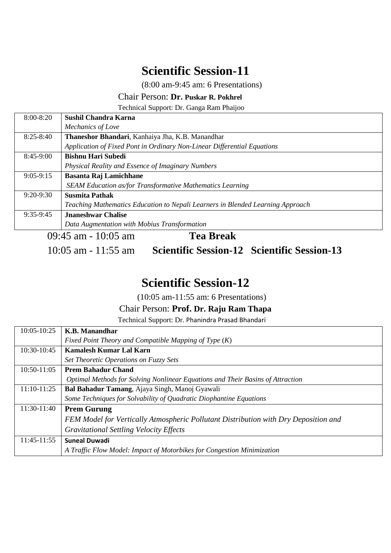(8:00 am-9:45 am: 6 Presentations)

## Chair Person: **Dr. Puskar R. Pokhrel**

Technical Support: Dr. Ganga Ram Phaijoo

| $8:00 - 8:20$ | Sushil Chandra Karna                                                           |
|---------------|--------------------------------------------------------------------------------|
|               | <i>Mechanics of Love</i>                                                       |
| $8:25 - 8:40$ | Thaneshor Bhandari, Kanhaiya Jha, K.B. Manandhar                               |
|               | Application of Fixed Pont in Ordinary Non-Linear Differential Equations        |
| 8:45-9:00     | <b>Bishnu Hari Subedi</b>                                                      |
|               | Physical Reality and Essence of Imaginary Numbers                              |
| $9:05-9:15$   | <b>Basanta Raj Lamichhane</b>                                                  |
|               | <b>SEAM Education as/for Transformative Mathematics Learning</b>               |
| $9:20-9:30$   | <b>Susmita Pathak</b>                                                          |
|               | Teaching Mathematics Education to Nepali Learners in Blended Learning Approach |
| $9:35-9:45$   | <b>Jnaneshwar Chalise</b>                                                      |
|               | Data Augmentation with Mobius Transformation                                   |
|               | $09:45$ am - 10:05 am<br>Tea Break                                             |

10:05 am - 11:55 am **Scientific Session-12 Scientific Session-13**

# **Scientific Session-12**

(10:05 am-11:55 am: 6 Presentations)

## Chair Person: **Prof. Dr. Raju Ram Thapa**

Technical Support: Dr. Phanindra Prasad Bhandari

| 10:05-10:25   | K.B. Manandhar                                                                      |
|---------------|-------------------------------------------------------------------------------------|
|               | Fixed Point Theory and Compatible Mapping of Type $(K)$                             |
| 10:30-10:45   | Kamalesh Kumar Lal Karn                                                             |
|               | Set Theoretic Operations on Fuzzy Sets                                              |
| 10:50-11:05   | <b>Prem Bahadur Chand</b>                                                           |
|               | Optimal Methods for Solving Nonlinear Equations and Their Basins of Attraction      |
| 11:10-11:25   | Bal Bahadur Tamang, Ajaya Singh, Manoj Gyawali                                      |
|               | Some Techniques for Solvability of Quadratic Diophantine Equations                  |
| 11:30-11:40   | <b>Prem Gurung</b>                                                                  |
|               | FEM Model for Vertically Atmospheric Pollutant Distribution with Dry Deposition and |
|               | <b>Gravitational Settling Velocity Effects</b>                                      |
| $11:45-11:55$ | <b>Suneal Duwadi</b>                                                                |
|               | A Traffic Flow Model: Impact of Motorbikes for Congestion Minimization              |